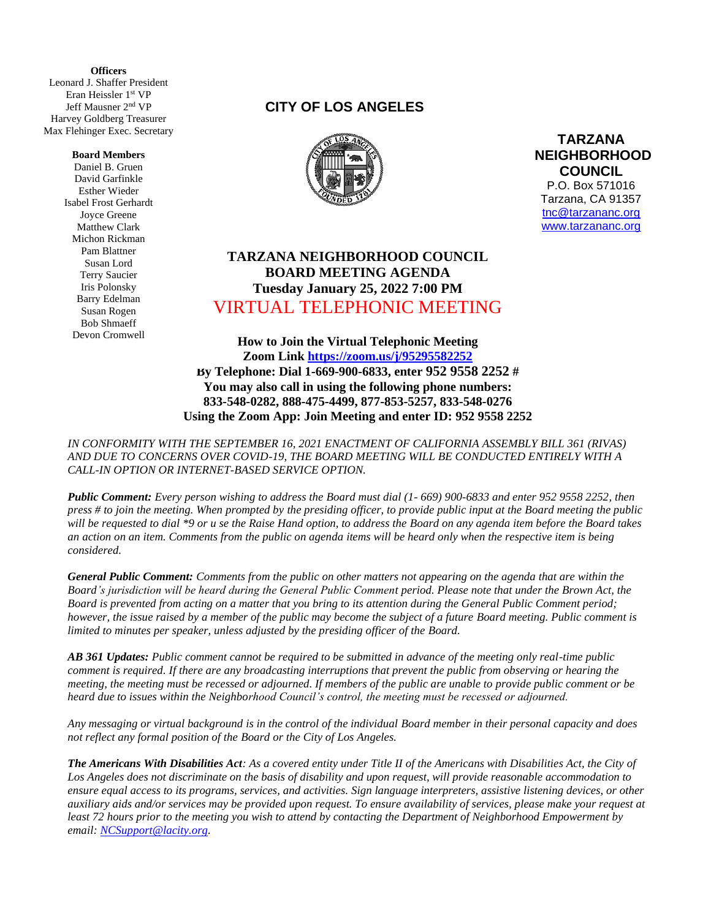**(** Leonard J. Shaffer President **Officers** Eran Heissler 1st VP Jeff Mausner 2 nd VP Harvey Goldberg Treasurer Max Flehinger Exec. Secretary

#### **Board Members**

Daniel B. Gruen David Garfinkle Esther Wieder Isabel Frost Gerhardt Joyce Greene Matthew Clark Michon Rickman Pam Blattner Susan Lord Terry Saucier Iris Polonsky Barry Edelman Susan Rogen Bob Shmaeff Devon Cromwell

## **CITY OF LOS ANGELES**



**TARZANA NEIGHBORHOOD COUNCIL**  P.O. Box 571016 Tarzana, CA 91357 [tnc@tarzananc.org](mailto:tnc@tarzananc.org) [www.tarzananc.org](http://www.tarzananc.org/)

# **TARZANA NEIGHBORHOOD COUNCIL BOARD MEETING AGENDA Tuesday January 25, 2022 7:00 PM** VIRTUAL TELEPHONIC MEETING

**How to Join the Virtual Telephonic Meeting Zoom Link<https://zoom.us/j/95295582252> By Telephone: Dial 1-669-900-6833, enter 952 9558 2252 # You may also call in using the following phone numbers: 833-548-0282, 888-475-4499, 877-853-5257, 833-548-0276 Using the Zoom App: Join Meeting and enter ID: 952 9558 2252**

*IN CONFORMITY WITH THE SEPTEMBER 16, 2021 ENACTMENT OF CALIFORNIA ASSEMBLY BILL 361 (RIVAS) AND DUE TO CONCERNS OVER COVID-19, THE BOARD MEETING WILL BE CONDUCTED ENTIRELY WITH A CALL-IN OPTION OR INTERNET-BASED SERVICE OPTION.* 

*Public Comment: Every person wishing to address the Board must dial (1- 669) 900-6833 and enter 952 9558 2252, then press # to join the meeting. When prompted by the presiding officer, to provide public input at the Board meeting the public will be requested to dial \*9 or u se the Raise Hand option, to address the Board on any agenda item before the Board takes an action on an item. Comments from the public on agenda items will be heard only when the respective item is being considered.*

*General Public Comment: Comments from the public on other matters not appearing on the agenda that are within the Board's jurisdiction will be heard during the General Public Comment period. Please note that under the Brown Act, the Board is prevented from acting on a matter that you bring to its attention during the General Public Comment period; however, the issue raised by a member of the public may become the subject of a future Board meeting. Public comment is limited to minutes per speaker, unless adjusted by the presiding officer of the Board.*

*AB 361 Updates: Public comment cannot be required to be submitted in advance of the meeting only real-time public comment is required. If there are any broadcasting interruptions that prevent the public from observing or hearing the meeting, the meeting must be recessed or adjourned. If members of the public are unable to provide public comment or be heard due to issues within the Neighborhood Council's control, the meeting must be recessed or adjourned.*

*Any messaging or virtual background is in the control of the individual Board member in their personal capacity and does not reflect any formal position of the Board or the City of Los Angeles.*

*The Americans With Disabilities Act: As a covered entity under Title II of the Americans with Disabilities Act, the City of Los Angeles does not discriminate on the basis of disability and upon request, will provide reasonable accommodation to ensure equal access to its programs, services, and activities. Sign language interpreters, assistive listening devices, or other auxiliary aids and/or services may be provided upon request. To ensure availability of services, please make your request at least 72 hours prior to the meeting you wish to attend by contacting the Department of Neighborhood Empowerment by email: [NCSupport@lacity.org.](mailto:NCSupport@lacity.org)*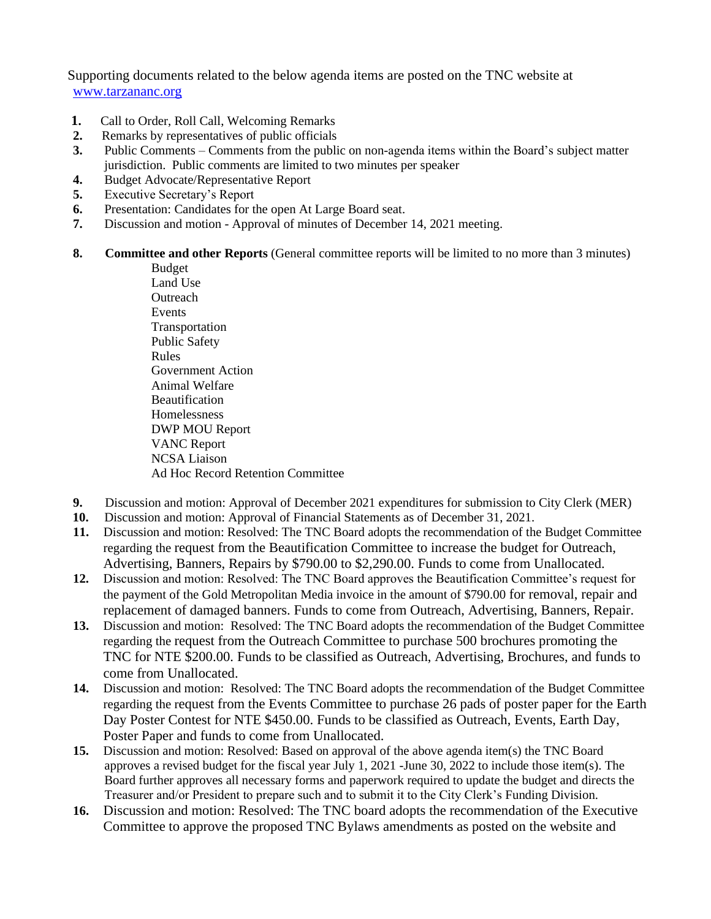Supporting documents related to the below agenda items are posted on the TNC website at [www.tarzananc.org](http://www.tarzananc.org/)

- **1.** Call to Order, Roll Call, Welcoming Remarks
- **2.** Remarks by representatives of public officials
- **3.** Public Comments Comments from the public on non-agenda items within the Board's subject matter jurisdiction. Public comments are limited to two minutes per speaker
- **4.** Budget Advocate/Representative Report
- **5.** Executive Secretary's Report
- **6.** Presentation: Candidates for the open At Large Board seat.
- **7.** Discussion and motion Approval of minutes of December 14, 2021 meeting.
- **8. Committee and other Reports** (General committee reports will be limited to no more than 3 minutes)

Budget Land Use **Outreach** Events Transportation Public Safety Rules Government Action Animal Welfare Beautification Homelessness DWP MOU Report VANC Report NCSA Liaison Ad Hoc Record Retention Committee

- **9.** Discussion and motion: Approval of December 2021 expenditures for submission to City Clerk (MER)
- **10.** Discussion and motion: Approval of Financial Statements as of December 31, 2021.
- **11.** Discussion and motion: Resolved: The TNC Board adopts the recommendation of the Budget Committee regarding the request from the Beautification Committee to increase the budget for Outreach, Advertising, Banners, Repairs by \$790.00 to \$2,290.00. Funds to come from Unallocated.
- **12.** Discussion and motion: Resolved: The TNC Board approves the Beautification Committee's request for the payment of the Gold Metropolitan Media invoice in the amount of \$790.00 for removal, repair and replacement of damaged banners. Funds to come from Outreach, Advertising, Banners, Repair.
- **13.** Discussion and motion: Resolved: The TNC Board adopts the recommendation of the Budget Committee regarding the request from the Outreach Committee to purchase 500 brochures promoting the TNC for NTE \$200.00. Funds to be classified as Outreach, Advertising, Brochures, and funds to come from Unallocated.
- **14.** Discussion and motion: Resolved: The TNC Board adopts the recommendation of the Budget Committee regarding the request from the Events Committee to purchase 26 pads of poster paper for the Earth Day Poster Contest for NTE \$450.00. Funds to be classified as Outreach, Events, Earth Day, Poster Paper and funds to come from Unallocated.
- **15.** Discussion and motion: Resolved: Based on approval of the above agenda item(s) the TNC Board approves a revised budget for the fiscal year July 1, 2021 -June 30, 2022 to include those item(s). The Board further approves all necessary forms and paperwork required to update the budget and directs the Treasurer and/or President to prepare such and to submit it to the City Clerk's Funding Division.
- **16.** Discussion and motion: Resolved: The TNC board adopts the recommendation of the Executive Committee to approve the proposed TNC Bylaws amendments as posted on the website and